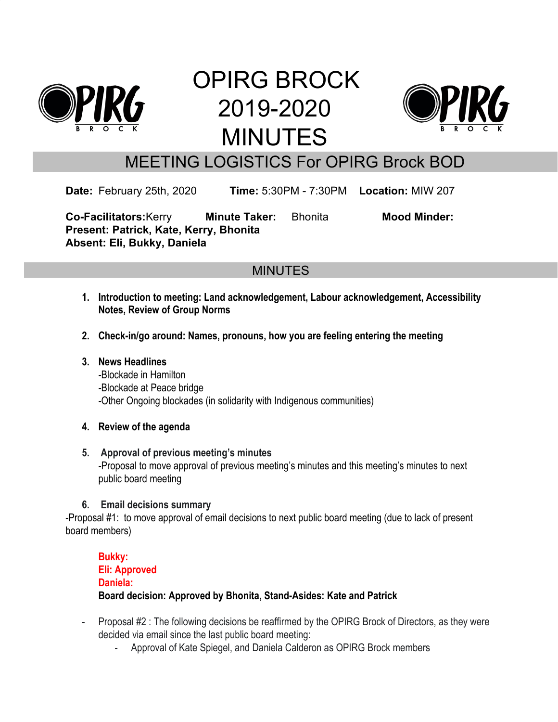

# OPIRG BROCK 2019-2020 MINUTES



# MEETING LOGISTICS For OPIRG Brock BOD

**Date:** February 25th, 2020 **Time:** 5:30PM - 7:30PM **Location:** MIW 207

**Co-Facilitators:**Kerry **Minute Taker:** Bhonita **Mood Minder: Present: Patrick, Kate, Kerry, Bhonita Absent: Eli, Bukky, Daniela**

# **MINUTES**

- **1. Introduction to meeting: Land acknowledgement, Labour acknowledgement, Accessibility Notes, Review of Group Norms**
- **2. Check-in/go around: Names, pronouns, how you are feeling entering the meeting**
- **3. News Headlines** -Blockade in Hamilton -Blockade at Peace bridge -Other Ongoing blockades (in solidarity with Indigenous communities)
- **4. Review of the agenda**
- **5. Approval of previous meeting's minutes** -Proposal to move approval of previous meeting's minutes and this meeting's minutes to next public board meeting
- **6. Email decisions summary**

-Proposal #1: to move approval of email decisions to next public board meeting (due to lack of present board members)

# **Bukky: Eli: Approved Daniela: Board decision: Approved by Bhonita, Stand-Asides: Kate and Patrick**

- Proposal #2 : The following decisions be reaffirmed by the OPIRG Brock of Directors, as they were decided via email since the last public board meeting:
	- Approval of Kate Spiegel, and Daniela Calderon as OPIRG Brock members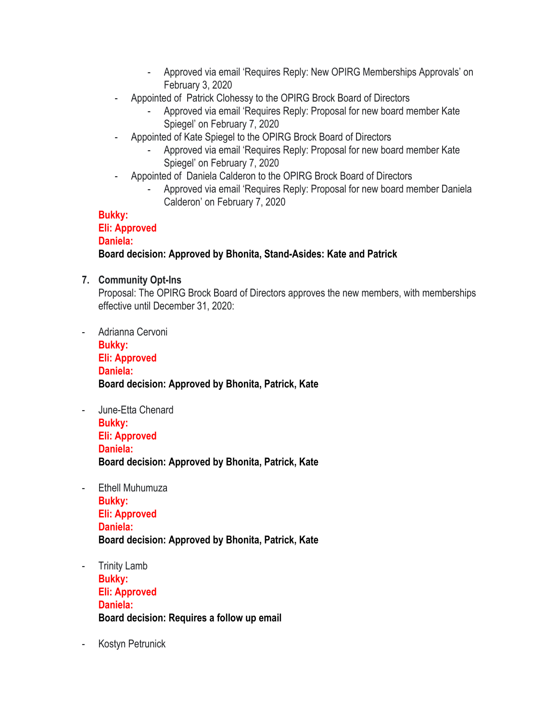- Approved via email 'Requires Reply: New OPIRG Memberships Approvals' on February 3, 2020
- Appointed of Patrick Clohessy to the OPIRG Brock Board of Directors
	- Approved via email 'Requires Reply: Proposal for new board member Kate Spiegel' on February 7, 2020
- Appointed of Kate Spiegel to the OPIRG Brock Board of Directors
	- Approved via email 'Requires Reply: Proposal for new board member Kate Spiegel' on February 7, 2020
- Appointed of Daniela Calderon to the OPIRG Brock Board of Directors
	- Approved via email 'Requires Reply: Proposal for new board member Daniela Calderon' on February 7, 2020

#### **Bukky: Eli: Approved Daniela: Board decision: Approved by Bhonita, Stand-Asides: Kate and Patrick**

# **7. Community Opt-Ins**

Proposal: The OPIRG Brock Board of Directors approves the new members, with memberships effective until December 31, 2020:

- Adrianna Cervoni **Bukky: Eli: Approved Daniela: Board decision: Approved by Bhonita, Patrick, Kate**
- June-Etta Chenard **Bukky: Eli: Approved Daniela: Board decision: Approved by Bhonita, Patrick, Kate**
- Ethell Muhumuza **Bukky: Eli: Approved Daniela: Board decision: Approved by Bhonita, Patrick, Kate**
- Trinity Lamb **Bukky: Eli: Approved Daniela: Board decision: Requires a follow up email**
- Kostyn Petrunick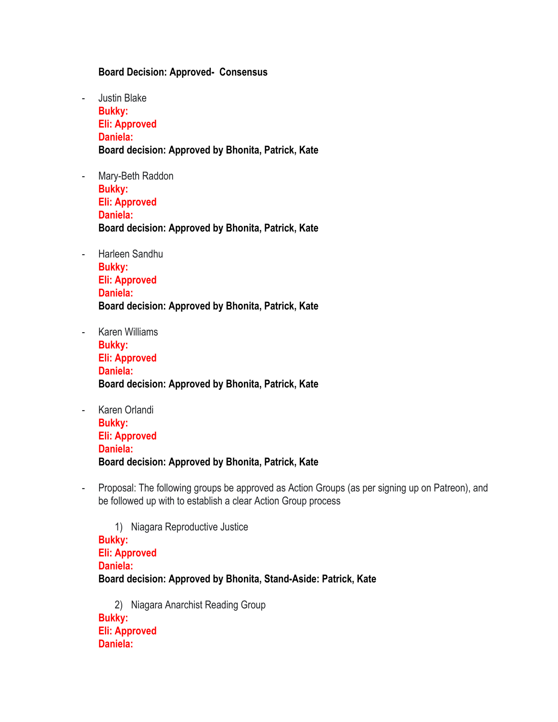#### **Board Decision: Approved- Consensus**

- Justin Blake **Bukky: Eli: Approved Daniela: Board decision: Approved by Bhonita, Patrick, Kate**
- Mary-Beth Raddon **Bukky: Eli: Approved Daniela: Board decision: Approved by Bhonita, Patrick, Kate**
- Harleen Sandhu **Bukky: Eli: Approved Daniela: Board decision: Approved by Bhonita, Patrick, Kate**
- Karen Williams **Bukky: Eli: Approved Daniela: Board decision: Approved by Bhonita, Patrick, Kate**
- Karen Orlandi **Bukky: Eli: Approved Daniela: Board decision: Approved by Bhonita, Patrick, Kate**
- Proposal: The following groups be approved as Action Groups (as per signing up on Patreon), and be followed up with to establish a clear Action Group process

1) Niagara Reproductive Justice **Bukky: Eli: Approved Daniela: Board decision: Approved by Bhonita, Stand-Aside: Patrick, Kate**

2) Niagara Anarchist Reading Group **Bukky: Eli: Approved Daniela:**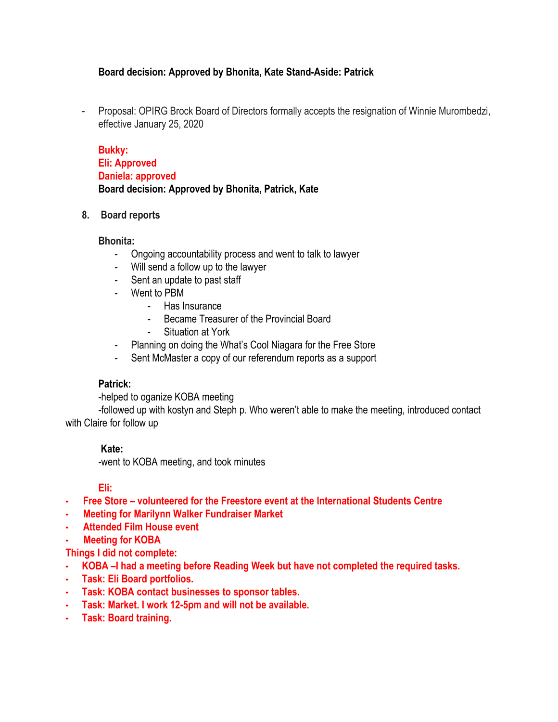#### **Board decision: Approved by Bhonita, Kate Stand-Aside: Patrick**

- Proposal: OPIRG Brock Board of Directors formally accepts the resignation of Winnie Murombedzi, effective January 25, 2020

| <b>Bukky:</b>                                      |  |
|----------------------------------------------------|--|
| Eli: Approved                                      |  |
| Daniela: approved                                  |  |
| Board decision: Approved by Bhonita, Patrick, Kate |  |

#### **8. Board reports**

#### **Bhonita:**

- Ongoing accountability process and went to talk to lawyer
- Will send a follow up to the lawyer
- Sent an update to past staff
- Went to PBM
	- Has Insurance
	- Became Treasurer of the Provincial Board
	- Situation at York
- Planning on doing the What's Cool Niagara for the Free Store
- Sent McMaster a copy of our referendum reports as a support

#### **Patrick:**

-helped to oganize KOBA meeting

-followed up with kostyn and Steph p. Who weren't able to make the meeting, introduced contact with Claire for follow up

#### **Kate:**

-went to KOBA meeting, and took minutes

#### **Eli:**

- **- Free Store volunteered for the Freestore event at the International Students Centre**
- **- Meeting for Marilynn Walker Fundraiser Market**
- **- Attended Film House event**

#### **- Meeting for KOBA**

- **Things I did not complete:**
- **- KOBA –I had a meeting before Reading Week but have not completed the required tasks.**
- **- Task: Eli Board portfolios.**
- **- Task: KOBA contact businesses to sponsor tables.**
- **- Task: Market. I work 12-5pm and will not be available.**
- **- Task: Board training.**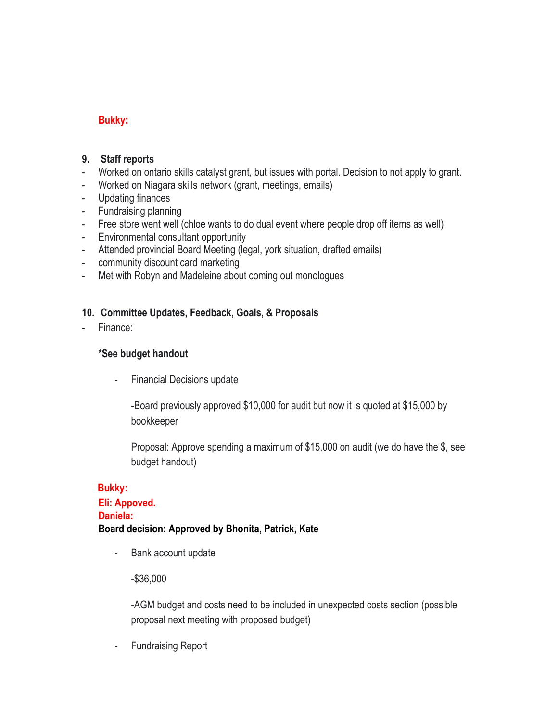# **Bukky:**

#### **9. Staff reports**

- Worked on ontario skills catalyst grant, but issues with portal. Decision to not apply to grant.
- Worked on Niagara skills network (grant, meetings, emails)
- Updating finances
- Fundraising planning
- Free store went well (chloe wants to do dual event where people drop off items as well)
- Environmental consultant opportunity
- Attended provincial Board Meeting (legal, york situation, drafted emails)
- community discount card marketing
- Met with Robyn and Madeleine about coming out monologues

#### **10. Committee Updates, Feedback, Goals, & Proposals**

Finance:

#### **\*See budget handout**

- Financial Decisions update

-Board previously approved \$10,000 for audit but now it is quoted at \$15,000 by bookkeeper

Proposal: Approve spending a maximum of \$15,000 on audit (we do have the \$, see budget handout)

# **Bukky: Eli: Appoved. Daniela: Board decision: Approved by Bhonita, Patrick, Kate**

- Bank account update

#### -\$36,000

-AGM budget and costs need to be included in unexpected costs section (possible proposal next meeting with proposed budget)

- Fundraising Report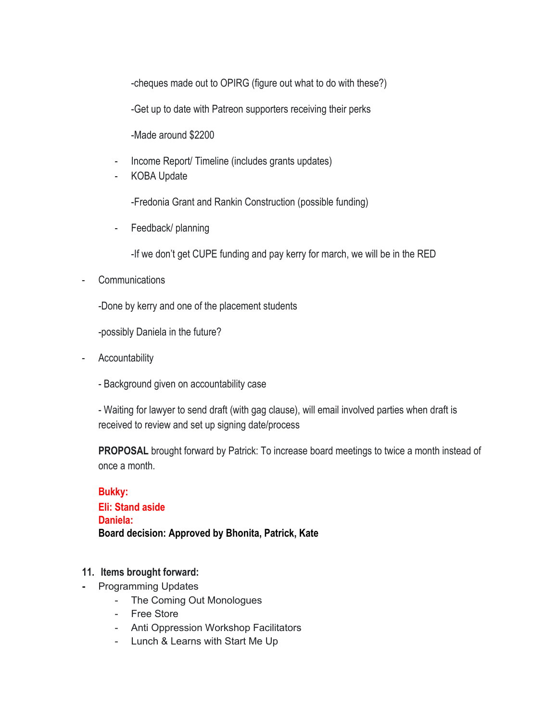-cheques made out to OPIRG (figure out what to do with these?)

-Get up to date with Patreon supporters receiving their perks

-Made around \$2200

- Income Report/ Timeline (includes grants updates)
- KOBA Update

-Fredonia Grant and Rankin Construction (possible funding)

- Feedback/ planning

-If we don't get CUPE funding and pay kerry for march, we will be in the RED

**Communications** 

-Done by kerry and one of the placement students

-possibly Daniela in the future?

- Accountability
	- Background given on accountability case

- Waiting for lawyer to send draft (with gag clause), will email involved parties when draft is received to review and set up signing date/process

**PROPOSAL** brought forward by Patrick: To increase board meetings to twice a month instead of once a month.

**Bukky: Eli: Stand aside Daniela: Board decision: Approved by Bhonita, Patrick, Kate**

#### **11. Items brought forward:**

- **-** Programming Updates
	- The Coming Out Monologues
	- Free Store
	- Anti Oppression Workshop Facilitators
	- Lunch & Learns with Start Me Up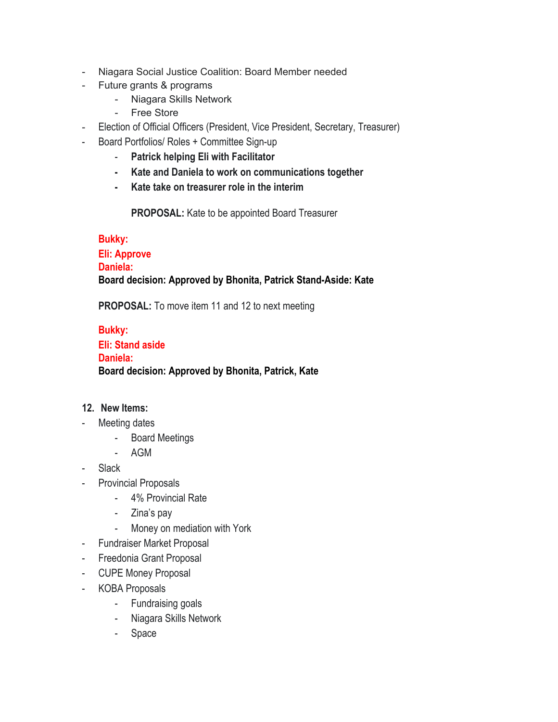- Niagara Social Justice Coalition: Board Member needed
- Future grants & programs
	- Niagara Skills Network
	- Free Store
- Election of Official Officers (President, Vice President, Secretary, Treasurer)
- Board Portfolios/ Roles + Committee Sign-up
	- **Patrick helping Eli with Facilitator**
	- **- Kate and Daniela to work on communications together**
	- **- Kate take on treasurer role in the interim**

**PROPOSAL:** Kate to be appointed Board Treasurer

#### **Bukky:**

# **Eli: Approve Daniela: Board decision: Approved by Bhonita, Patrick Stand-Aside: Kate**

**PROPOSAL:** To move item 11 and 12 to next meeting

# **Bukky: Eli: Stand aside Daniela: Board decision: Approved by Bhonita, Patrick, Kate**

#### **12. New Items:**

- Meeting dates
	- Board Meetings
	- AGM
- Slack
- Provincial Proposals
	- 4% Provincial Rate
	- Zina's pay
	- Money on mediation with York
- Fundraiser Market Proposal
- Freedonia Grant Proposal
- CUPE Money Proposal
- KOBA Proposals
	- Fundraising goals
	- Niagara Skills Network
	- Space